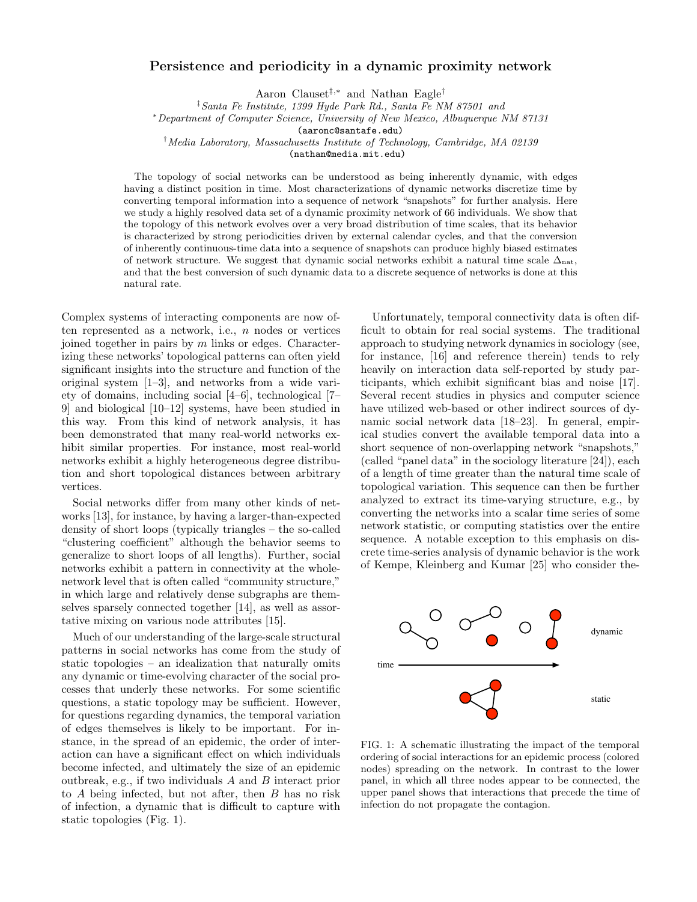## Persistence and periodicity in a dynamic proximity network

Aaron Clauset‡,<sup>∗</sup> and Nathan Eagle†

‡Santa Fe Institute, 1399 Hyde Park Rd., Santa Fe NM 87501 and

<sup>∗</sup>Department of Computer Science, University of New Mexico, Albuquerque NM 87131

(aaronc@santafe.edu)

†Media Laboratory, Massachusetts Institute of Technology, Cambridge, MA 02139

(nathan@media.mit.edu)

The topology of social networks can be understood as being inherently dynamic, with edges having a distinct position in time. Most characterizations of dynamic networks discretize time by converting temporal information into a sequence of network "snapshots" for further analysis. Here we study a highly resolved data set of a dynamic proximity network of 66 individuals. We show that the topology of this network evolves over a very broad distribution of time scales, that its behavior is characterized by strong periodicities driven by external calendar cycles, and that the conversion of inherently continuous-time data into a sequence of snapshots can produce highly biased estimates of network structure. We suggest that dynamic social networks exhibit a natural time scale  $\Delta_{nat}$ , and that the best conversion of such dynamic data to a discrete sequence of networks is done at this natural rate.

Complex systems of interacting components are now often represented as a network, i.e.,  $n$  nodes or vertices joined together in pairs by  $m$  links or edges. Characterizing these networks' topological patterns can often yield significant insights into the structure and function of the original system [1–3], and networks from a wide variety of domains, including social [4–6], technological [7– 9] and biological [10–12] systems, have been studied in this way. From this kind of network analysis, it has been demonstrated that many real-world networks exhibit similar properties. For instance, most real-world networks exhibit a highly heterogeneous degree distribution and short topological distances between arbitrary vertices.

Social networks differ from many other kinds of networks [13], for instance, by having a larger-than-expected density of short loops (typically triangles – the so-called "clustering coefficient" although the behavior seems to generalize to short loops of all lengths). Further, social networks exhibit a pattern in connectivity at the wholenetwork level that is often called "community structure," in which large and relatively dense subgraphs are themselves sparsely connected together [14], as well as assortative mixing on various node attributes [15].

Much of our understanding of the large-scale structural patterns in social networks has come from the study of static topologies – an idealization that naturally omits any dynamic or time-evolving character of the social processes that underly these networks. For some scientific questions, a static topology may be sufficient. However, for questions regarding dynamics, the temporal variation of edges themselves is likely to be important. For instance, in the spread of an epidemic, the order of interaction can have a significant effect on which individuals become infected, and ultimately the size of an epidemic outbreak, e.g., if two individuals A and B interact prior to A being infected, but not after, then B has no risk of infection, a dynamic that is difficult to capture with static topologies (Fig. 1).

Unfortunately, temporal connectivity data is often difficult to obtain for real social systems. The traditional approach to studying network dynamics in sociology (see, for instance, [16] and reference therein) tends to rely heavily on interaction data self-reported by study participants, which exhibit significant bias and noise [17]. Several recent studies in physics and computer science have utilized web-based or other indirect sources of dynamic social network data [18–23]. In general, empirical studies convert the available temporal data into a short sequence of non-overlapping network "snapshots," (called "panel data" in the sociology literature [24]), each of a length of time greater than the natural time scale of topological variation. This sequence can then be further analyzed to extract its time-varying structure, e.g., by converting the networks into a scalar time series of some network statistic, or computing statistics over the entire sequence. A notable exception to this emphasis on discrete time-series analysis of dynamic behavior is the work of Kempe, Kleinberg and Kumar [25] who consider the-



FIG. 1: A schematic illustrating the impact of the temporal ordering of social interactions for an epidemic process (colored nodes) spreading on the network. In contrast to the lower panel, in which all three nodes appear to be connected, the upper panel shows that interactions that precede the time of infection do not propagate the contagion.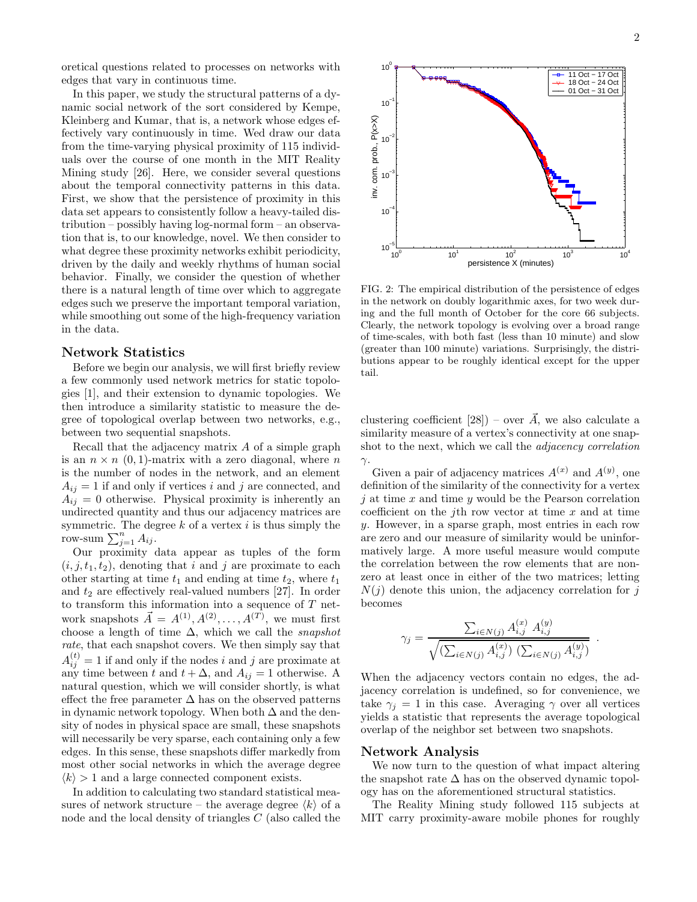oretical questions related to processes on networks with edges that vary in continuous time.

In this paper, we study the structural patterns of a dynamic social network of the sort considered by Kempe, Kleinberg and Kumar, that is, a network whose edges effectively vary continuously in time. Wed draw our data from the time-varying physical proximity of 115 individuals over the course of one month in the MIT Reality Mining study [26]. Here, we consider several questions about the temporal connectivity patterns in this data. First, we show that the persistence of proximity in this data set appears to consistently follow a heavy-tailed distribution – possibly having log-normal form – an observation that is, to our knowledge, novel. We then consider to what degree these proximity networks exhibit periodicity, driven by the daily and weekly rhythms of human social behavior. Finally, we consider the question of whether there is a natural length of time over which to aggregate edges such we preserve the important temporal variation, while smoothing out some of the high-frequency variation in the data.

## Network Statistics

Before we begin our analysis, we will first briefly review a few commonly used network metrics for static topologies [1], and their extension to dynamic topologies. We then introduce a similarity statistic to measure the degree of topological overlap between two networks, e.g., between two sequential snapshots.

Recall that the adjacency matrix A of a simple graph is an  $n \times n$  (0, 1)-matrix with a zero diagonal, where n is the number of nodes in the network, and an element  $A_{ij} = 1$  if and only if vertices i and j are connected, and  $A_{ij} = 0$  otherwise. Physical proximity is inherently an undirected quantity and thus our adjacency matrices are symmetric. The degree  $k$  of a vertex  $i$  is thus simply the row-sum  $\sum_{j=1}^n A_{ij}$ .

Our proximity data appear as tuples of the form  $(i, j, t_1, t_2)$ , denoting that i and j are proximate to each other starting at time  $t_1$  and ending at time  $t_2$ , where  $t_1$ and  $t_2$  are effectively real-valued numbers [27]. In order to transform this information into a sequence of T network snapshots  $\vec{A} = A^{(1)}, A^{(2)}, \ldots, A^{(T)}$ , we must first choose a length of time  $\Delta$ , which we call the *snapshot* rate, that each snapshot covers. We then simply say that  $A_{ij}^{(t)} = 1$  if and only if the nodes i and j are proximate at any time between t and  $t + \Delta$ , and  $A_{ij} = 1$  otherwise. A natural question, which we will consider shortly, is what effect the free parameter  $\Delta$  has on the observed patterns in dynamic network topology. When both  $\Delta$  and the density of nodes in physical space are small, these snapshots will necessarily be very sparse, each containing only a few edges. In this sense, these snapshots differ markedly from most other social networks in which the average degree  $\langle k \rangle > 1$  and a large connected component exists.

In addition to calculating two standard statistical measures of network structure – the average degree  $\langle k \rangle$  of a node and the local density of triangles C (also called the

 $10<sup>0</sup>$  $10<sup>1</sup>$  $10<sup>2</sup>$  $10<sup>3</sup>$  $10<sup>4</sup>$ 10−5 10−4 10−3 10−2 persistence X (minutes) FIG. 2: The empirical distribution of the persistence of edges in the network on doubly logarithmic axes, for two week during and the full month of October for the core 66 subjects. Clearly, the network topology is evolving over a broad range of time-scales, with both fast (less than 10 minute) and slow

clustering coefficient [28]) – over  $\vec{A}$ , we also calculate a similarity measure of a vertex's connectivity at one snapshot to the next, which we call the adjacency correlation γ.

(greater than 100 minute) variations. Surprisingly, the distributions appear to be roughly identical except for the upper

Given a pair of adjacency matrices  $A^{(x)}$  and  $A^{(y)}$ , one definition of the similarity of the connectivity for a vertex  $i$  at time x and time y would be the Pearson correlation coefficient on the *j*th row vector at time  $x$  and at time y. However, in a sparse graph, most entries in each row are zero and our measure of similarity would be uninformatively large. A more useful measure would compute the correlation between the row elements that are nonzero at least once in either of the two matrices; letting  $N(j)$  denote this union, the adjacency correlation for j becomes

$$
\gamma_j = \frac{\sum_{i \in N(j)} A_{i,j}^{(x)} A_{i,j}^{(y)}}{\sqrt{\left(\sum_{i \in N(j)} A_{i,j}^{(x)}\right) \left(\sum_{i \in N(j)} A_{i,j}^{(y)}\right)}}
$$

.

When the adjacency vectors contain no edges, the adjacency correlation is undefined, so for convenience, we take  $\gamma_i = 1$  in this case. Averaging  $\gamma$  over all vertices yields a statistic that represents the average topological overlap of the neighbor set between two snapshots.

## Network Analysis

tail.

We now turn to the question of what impact altering the snapshot rate  $\Delta$  has on the observed dynamic topology has on the aforementioned structural statistics.

The Reality Mining study followed 115 subjects at MIT carry proximity-aware mobile phones for roughly

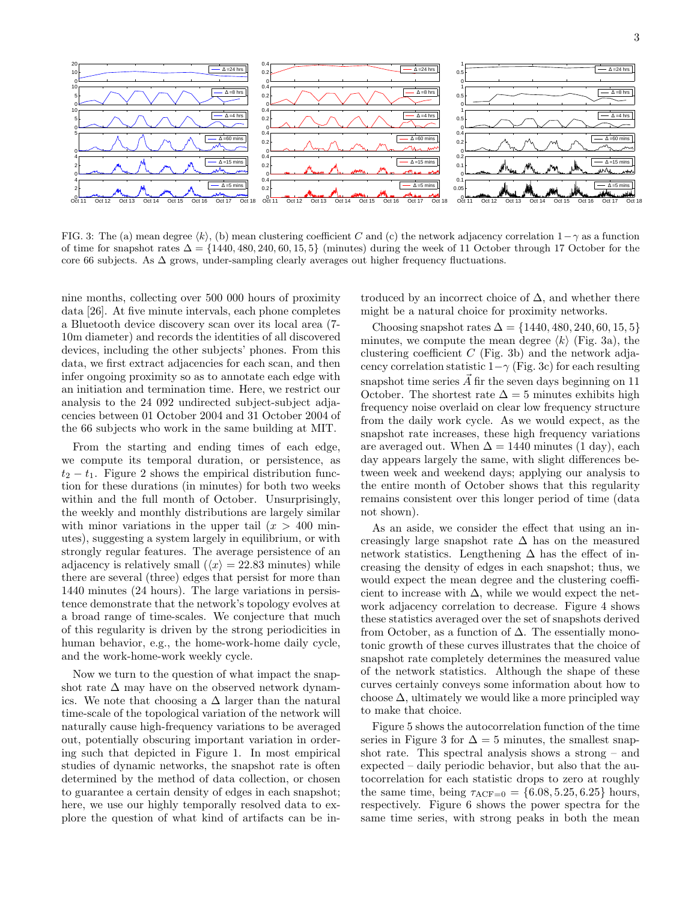

FIG. 3: The (a) mean degree  $\langle k \rangle$ , (b) mean clustering coefficient C and (c) the network adjacency correlation 1−γ as a function of time for snapshot rates  $\Delta = \{1440, 480, 240, 60, 15, 5\}$  (minutes) during the week of 11 October through 17 October for the core 66 subjects. As  $\Delta$  grows, under-sampling clearly averages out higher frequency fluctuations.

nine months, collecting over 500 000 hours of proximity data [26]. At five minute intervals, each phone completes a Bluetooth device discovery scan over its local area (7- 10m diameter) and records the identities of all discovered devices, including the other subjects' phones. From this data, we first extract adjacencies for each scan, and then infer ongoing proximity so as to annotate each edge with an initiation and termination time. Here, we restrict our analysis to the 24 092 undirected subject-subject adjacencies between 01 October 2004 and 31 October 2004 of the 66 subjects who work in the same building at MIT.

From the starting and ending times of each edge, we compute its temporal duration, or persistence, as  $t_2 - t_1$ . Figure 2 shows the empirical distribution function for these durations (in minutes) for both two weeks within and the full month of October. Unsurprisingly, the weekly and monthly distributions are largely similar with minor variations in the upper tail  $(x > 400 \text{ min}$ utes), suggesting a system largely in equilibrium, or with strongly regular features. The average persistence of an adjacency is relatively small  $(\langle x \rangle = 22.83$  minutes) while there are several (three) edges that persist for more than 1440 minutes (24 hours). The large variations in persistence demonstrate that the network's topology evolves at a broad range of time-scales. We conjecture that much of this regularity is driven by the strong periodicities in human behavior, e.g., the home-work-home daily cycle, and the work-home-work weekly cycle.

Now we turn to the question of what impact the snapshot rate  $\Delta$  may have on the observed network dynamics. We note that choosing a  $\Delta$  larger than the natural time-scale of the topological variation of the network will naturally cause high-frequency variations to be averaged out, potentially obscuring important variation in ordering such that depicted in Figure 1. In most empirical studies of dynamic networks, the snapshot rate is often determined by the method of data collection, or chosen to guarantee a certain density of edges in each snapshot; here, we use our highly temporally resolved data to explore the question of what kind of artifacts can be in-

troduced by an incorrect choice of  $\Delta$ , and whether there might be a natural choice for proximity networks.

Choosing snapshot rates  $\Delta = \{1440, 480, 240, 60, 15, 5\}$ minutes, we compute the mean degree  $\langle k \rangle$  (Fig. 3a), the clustering coefficient  $C$  (Fig. 3b) and the network adjacency correlation statistic  $1-\gamma$  (Fig. 3c) for each resulting snapshot time series  $\vec{A}$  fir the seven days beginning on 11 October. The shortest rate  $\Delta = 5$  minutes exhibits high frequency noise overlaid on clear low frequency structure from the daily work cycle. As we would expect, as the snapshot rate increases, these high frequency variations are averaged out. When  $\Delta = 1440$  minutes (1 day), each day appears largely the same, with slight differences between week and weekend days; applying our analysis to the entire month of October shows that this regularity remains consistent over this longer period of time (data not shown).

As an aside, we consider the effect that using an increasingly large snapshot rate  $\Delta$  has on the measured network statistics. Lengthening  $\Delta$  has the effect of increasing the density of edges in each snapshot; thus, we would expect the mean degree and the clustering coefficient to increase with  $\Delta$ , while we would expect the network adjacency correlation to decrease. Figure 4 shows these statistics averaged over the set of snapshots derived from October, as a function of  $\Delta$ . The essentially monotonic growth of these curves illustrates that the choice of snapshot rate completely determines the measured value of the network statistics. Although the shape of these curves certainly conveys some information about how to choose  $\Delta$ , ultimately we would like a more principled way to make that choice.

Figure 5 shows the autocorrelation function of the time series in Figure 3 for  $\Delta = 5$  minutes, the smallest snapshot rate. This spectral analysis shows a strong – and expected – daily periodic behavior, but also that the autocorrelation for each statistic drops to zero at roughly the same time, being  $\tau_{ACF=0} = \{6.08, 5.25, 6.25\}$  hours, respectively. Figure 6 shows the power spectra for the same time series, with strong peaks in both the mean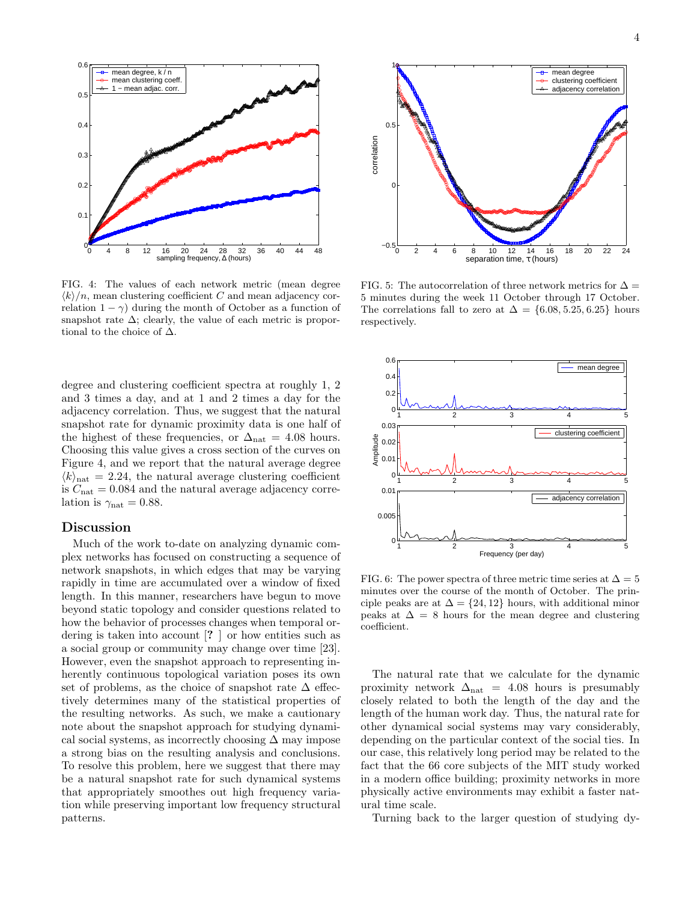

FIG. 4: The values of each network metric (mean degree  $\langle k \rangle/n$ , mean clustering coefficient C and mean adjacency correlation  $1 - \gamma$ ) during the month of October as a function of snapshot rate  $\Delta$ ; clearly, the value of each metric is proportional to the choice of  $\Delta$ .

degree and clustering coefficient spectra at roughly 1, 2 and 3 times a day, and at 1 and 2 times a day for the adjacency correlation. Thus, we suggest that the natural snapshot rate for dynamic proximity data is one half of the highest of these frequencies, or  $\Delta_{nat} = 4.08$  hours. Choosing this value gives a cross section of the curves on Figure 4, and we report that the natural average degree  $\langle k \rangle_{\text{nat}} = 2.24$ , the natural average clustering coefficient is  $C_{\text{nat}} = 0.084$  and the natural average adjacency correlation is  $\gamma_{\text{nat}} = 0.88$ .

## Discussion

Much of the work to-date on analyzing dynamic complex networks has focused on constructing a sequence of network snapshots, in which edges that may be varying rapidly in time are accumulated over a window of fixed length. In this manner, researchers have begun to move beyond static topology and consider questions related to how the behavior of processes changes when temporal ordering is taken into account [? ] or how entities such as a social group or community may change over time [23]. However, even the snapshot approach to representing inherently continuous topological variation poses its own set of problems, as the choice of snapshot rate  $\Delta$  effectively determines many of the statistical properties of the resulting networks. As such, we make a cautionary note about the snapshot approach for studying dynamical social systems, as incorrectly choosing  $\Delta$  may impose a strong bias on the resulting analysis and conclusions. To resolve this problem, here we suggest that there may be a natural snapshot rate for such dynamical systems that appropriately smoothes out high frequency variation while preserving important low frequency structural patterns.



FIG. 5: The autocorrelation of three network metrics for  $\Delta =$ 5 minutes during the week 11 October through 17 October. The correlations fall to zero at  $\Delta = \{6.08, 5.25, 6.25\}$  hours respectively.



FIG. 6: The power spectra of three metric time series at  $\Delta = 5$ minutes over the course of the month of October. The principle peaks are at  $\Delta = \{24, 12\}$  hours, with additional minor peaks at  $\Delta = 8$  hours for the mean degree and clustering coefficient.

The natural rate that we calculate for the dynamic proximity network  $\Delta_{nat}$  = 4.08 hours is presumably closely related to both the length of the day and the length of the human work day. Thus, the natural rate for other dynamical social systems may vary considerably, depending on the particular context of the social ties. In our case, this relatively long period may be related to the fact that the 66 core subjects of the MIT study worked in a modern office building; proximity networks in more physically active environments may exhibit a faster natural time scale.

Turning back to the larger question of studying dy-